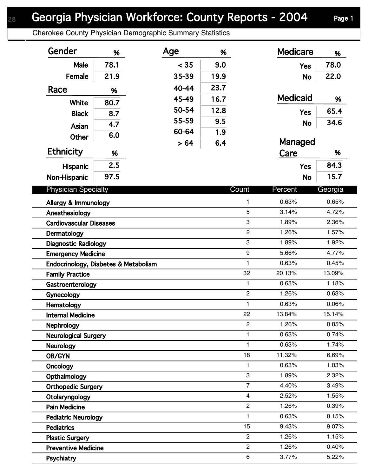## Georgia Physician Workforce: County Reports - 2004 Page 1

Cherokee County Physician Demographic Summary Statistics

| Gender                               | %    | Age   | %    |                | <b>Medicare</b> | %       |
|--------------------------------------|------|-------|------|----------------|-----------------|---------|
| Male                                 | 78.1 | < 35  | 9.0  |                | <b>Yes</b>      | 78.0    |
| Female                               | 21.9 | 35-39 | 19.9 |                | <b>No</b>       | 22.0    |
| Race                                 |      | 40-44 | 23.7 |                |                 |         |
|                                      | %    | 45-49 | 16.7 |                | <b>Medicaid</b> | %       |
| White                                | 80.7 | 50-54 | 12.8 |                |                 | 65.4    |
| <b>Black</b>                         | 8.7  | 55-59 | 9.5  |                | <b>Yes</b>      |         |
| <b>Asian</b>                         | 4.7  | 60-64 |      |                | <b>No</b>       | 34.6    |
| <b>Other</b>                         | 6.0  |       | 1.9  |                |                 |         |
| Ethnicity                            | %    | > 64  | 6.4  |                | Managed<br>Care | %       |
| Hispanic                             | 2.5  |       |      |                | <b>Yes</b>      | 84.3    |
| Non-Hispanic                         | 97.5 |       |      |                | <b>No</b>       | 15.7    |
|                                      |      |       |      |                |                 |         |
| <b>Physician Specialty</b>           |      |       |      | Count          | Percent         | Georgia |
| Allergy & Immunology                 |      |       |      | $\mathbf{1}$   | 0.63%           | 0.65%   |
| Anesthesiology                       |      |       |      | 5              | 3.14%           | 4.72%   |
| <b>Cardiovascular Diseases</b>       |      |       |      | 3              | 1.89%           | 2.36%   |
| Dermatology                          |      |       |      | $\overline{c}$ | 1.26%           | 1.57%   |
| <b>Diagnostic Radiology</b>          |      |       |      | 3              | 1.89%           | 1.92%   |
| <b>Emergency Medicine</b>            |      |       |      | 9              | 5.66%           | 4.77%   |
| Endocrinology, Diabetes & Metabolism |      |       |      | $\mathbf{1}$   | 0.63%           | 0.45%   |
| <b>Family Practice</b>               |      |       |      | 32             | 20.13%          | 13.09%  |
| Gastroenterology                     |      |       |      | $\mathbf{1}$   | 0.63%           | 1.18%   |
| Gynecology                           |      |       |      | $\overline{c}$ | 1.26%           | 0.63%   |
| Hematology                           |      |       |      | $\mathbf{1}$   | 0.63%           | 0.06%   |
| <b>Internal Medicine</b>             |      |       |      | 22             | 13.84%          | 15.14%  |
| <b>Nephrology</b>                    |      |       |      | $\overline{2}$ | 1.26%           | 0.85%   |
| <b>Neurological Surgery</b>          |      |       |      | 1              | 0.63%           | 0.74%   |
| <b>Neurology</b>                     |      |       |      | $\mathbf{1}$   | 0.63%           | 1.74%   |
| OB/GYN                               |      |       |      | 18             | 11.32%          | 6.69%   |
| Oncology                             |      |       |      | $\mathbf{1}$   | 0.63%           | 1.03%   |
| Opthalmology                         |      |       |      | 3              | 1.89%           | 2.32%   |
| <b>Orthopedic Surgery</b>            |      |       |      | $\overline{7}$ | 4.40%           | 3.49%   |
| Otolaryngology                       |      |       |      | $\overline{4}$ | 2.52%           | 1.55%   |
| <b>Pain Medicine</b>                 |      |       |      | $\overline{2}$ | 1.26%           | 0.39%   |
| <b>Pediatric Neurology</b>           |      |       |      | $\mathbf{1}$   | 0.63%           | 0.15%   |
| <b>Pediatrics</b>                    |      |       |      | 15             | 9.43%           | 9.07%   |
| <b>Plastic Surgery</b>               |      |       |      | $\overline{2}$ | 1.26%           | 1.15%   |
| <b>Preventive Medicine</b>           |      |       |      | $\overline{c}$ | 1.26%           | 0.40%   |
| Psychiatry                           |      |       |      | 6              | 3.77%           | 5.22%   |